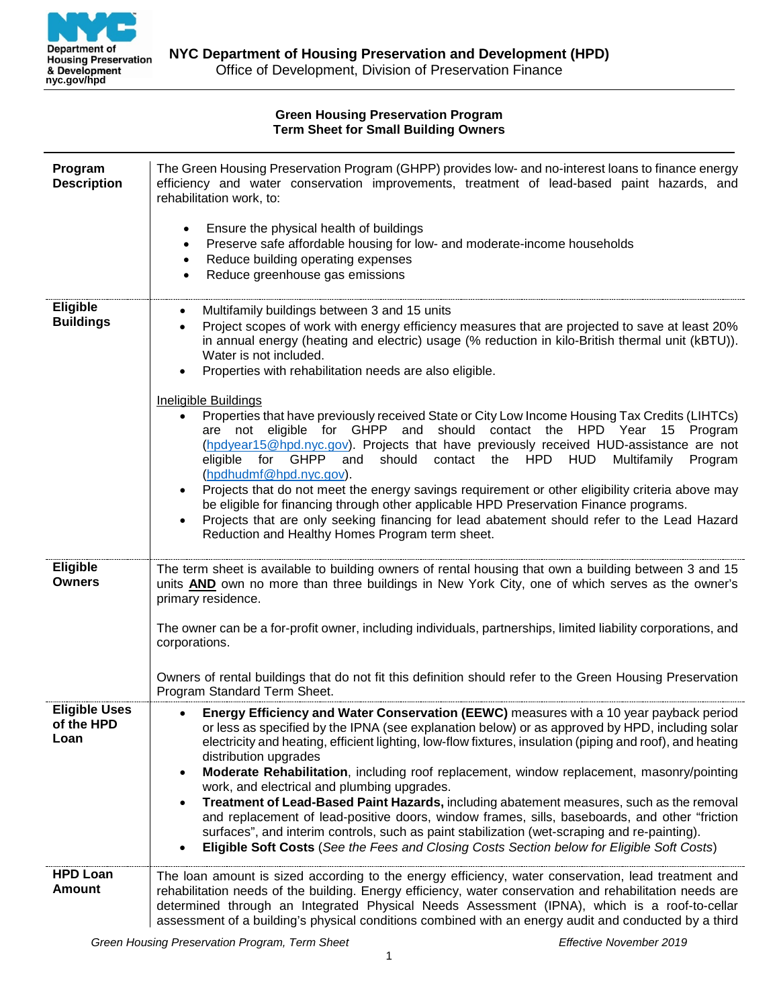

### **Green Housing Preservation Program Term Sheet for Small Building Owners**

| Program<br><b>Description</b>              | The Green Housing Preservation Program (GHPP) provides low- and no-interest loans to finance energy<br>efficiency and water conservation improvements, treatment of lead-based paint hazards, and<br>rehabilitation work, to:<br>Ensure the physical health of buildings<br>$\bullet$<br>Preserve safe affordable housing for low- and moderate-income households<br>$\bullet$<br>Reduce building operating expenses<br>$\bullet$<br>Reduce greenhouse gas emissions<br>$\bullet$                                                                                                                                                                                                                                                                                                                                                                                      |
|--------------------------------------------|------------------------------------------------------------------------------------------------------------------------------------------------------------------------------------------------------------------------------------------------------------------------------------------------------------------------------------------------------------------------------------------------------------------------------------------------------------------------------------------------------------------------------------------------------------------------------------------------------------------------------------------------------------------------------------------------------------------------------------------------------------------------------------------------------------------------------------------------------------------------|
| <b>Eligible</b><br><b>Buildings</b>        | Multifamily buildings between 3 and 15 units<br>$\bullet$<br>Project scopes of work with energy efficiency measures that are projected to save at least 20%<br>$\bullet$<br>in annual energy (heating and electric) usage (% reduction in kilo-British thermal unit (kBTU)).<br>Water is not included.<br>Properties with rehabilitation needs are also eligible.<br><b>Ineligible Buildings</b><br>Properties that have previously received State or City Low Income Housing Tax Credits (LIHTCs)<br>$\bullet$<br>are not eligible for GHPP and should contact the HPD Year 15 Program<br>(hpdyear15@hpd.nyc.gov). Projects that have previously received HUD-assistance are not                                                                                                                                                                                      |
|                                            | for GHPP and<br>should contact the HPD HUD<br>eligible<br>Multifamily<br>Program<br>(hpdhudmf@hpd.nyc.gov).<br>Projects that do not meet the energy savings requirement or other eligibility criteria above may<br>be eligible for financing through other applicable HPD Preservation Finance programs.<br>Projects that are only seeking financing for lead abatement should refer to the Lead Hazard<br>Reduction and Healthy Homes Program term sheet.                                                                                                                                                                                                                                                                                                                                                                                                             |
| Eligible<br><b>Owners</b>                  | The term sheet is available to building owners of rental housing that own a building between 3 and 15<br>units AND own no more than three buildings in New York City, one of which serves as the owner's<br>primary residence.                                                                                                                                                                                                                                                                                                                                                                                                                                                                                                                                                                                                                                         |
|                                            | The owner can be a for-profit owner, including individuals, partnerships, limited liability corporations, and<br>corporations.                                                                                                                                                                                                                                                                                                                                                                                                                                                                                                                                                                                                                                                                                                                                         |
|                                            | Owners of rental buildings that do not fit this definition should refer to the Green Housing Preservation<br>Program Standard Term Sheet.                                                                                                                                                                                                                                                                                                                                                                                                                                                                                                                                                                                                                                                                                                                              |
| <b>Eligible Uses</b><br>of the HPD<br>Loan | Energy Efficiency and Water Conservation (EEWC) measures with a 10 year payback period<br>or less as specified by the IPNA (see explanation below) or as approved by HPD, including solar<br>electricity and heating, efficient lighting, low-flow fixtures, insulation (piping and roof), and heating<br>distribution upgrades<br>Moderate Rehabilitation, including roof replacement, window replacement, masonry/pointing<br>work, and electrical and plumbing upgrades.<br>Treatment of Lead-Based Paint Hazards, including abatement measures, such as the removal<br>and replacement of lead-positive doors, window frames, sills, baseboards, and other "friction<br>surfaces", and interim controls, such as paint stabilization (wet-scraping and re-painting).<br>Eligible Soft Costs (See the Fees and Closing Costs Section below for Eligible Soft Costs) |
| <b>HPD Loan</b><br><b>Amount</b>           | The loan amount is sized according to the energy efficiency, water conservation, lead treatment and<br>rehabilitation needs of the building. Energy efficiency, water conservation and rehabilitation needs are<br>determined through an Integrated Physical Needs Assessment (IPNA), which is a roof-to-cellar<br>assessment of a building's physical conditions combined with an energy audit and conducted by a third                                                                                                                                                                                                                                                                                                                                                                                                                                               |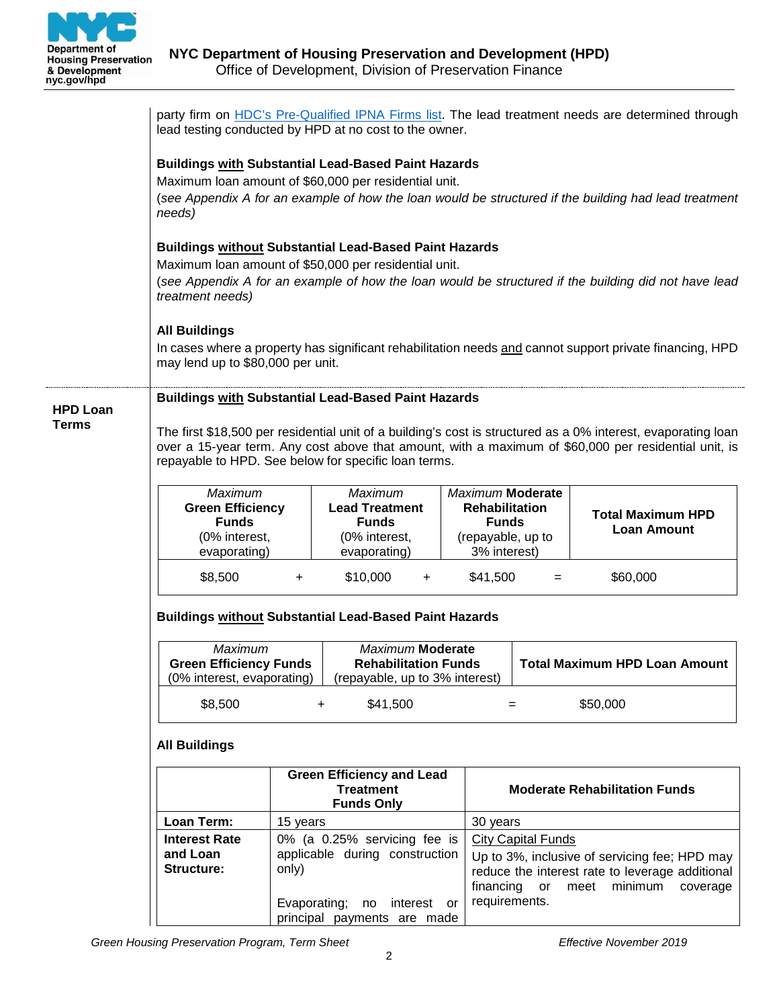

|                 | party firm on HDC's Pre-Qualified IPNA Firms list. The lead treatment needs are determined through<br>lead testing conducted by HPD at no cost to the owner.                                                                                                                                                                                                                                                                |                                                                                   |                                                            |    |                                                                                                                                                                                 |                                                |
|-----------------|-----------------------------------------------------------------------------------------------------------------------------------------------------------------------------------------------------------------------------------------------------------------------------------------------------------------------------------------------------------------------------------------------------------------------------|-----------------------------------------------------------------------------------|------------------------------------------------------------|----|---------------------------------------------------------------------------------------------------------------------------------------------------------------------------------|------------------------------------------------|
|                 | <b>Buildings with Substantial Lead-Based Paint Hazards</b><br>Maximum loan amount of \$60,000 per residential unit.<br>(see Appendix A for an example of how the loan would be structured if the building had lead treatment<br>needs)                                                                                                                                                                                      |                                                                                   |                                                            |    |                                                                                                                                                                                 |                                                |
|                 | <b>Buildings without Substantial Lead-Based Paint Hazards</b><br>Maximum loan amount of \$50,000 per residential unit.<br>(see Appendix A for an example of how the loan would be structured if the building did not have lead<br>treatment needs)<br><b>All Buildings</b><br>In cases where a property has significant rehabilitation needs and cannot support private financing, HPD<br>may lend up to \$80,000 per unit. |                                                                                   |                                                            |    |                                                                                                                                                                                 |                                                |
|                 |                                                                                                                                                                                                                                                                                                                                                                                                                             |                                                                                   |                                                            |    |                                                                                                                                                                                 |                                                |
| <b>HPD Loan</b> |                                                                                                                                                                                                                                                                                                                                                                                                                             |                                                                                   | <b>Buildings with Substantial Lead-Based Paint Hazards</b> |    |                                                                                                                                                                                 |                                                |
| <b>Terms</b>    | The first \$18,500 per residential unit of a building's cost is structured as a 0% interest, evaporating loan<br>over a 15-year term. Any cost above that amount, with a maximum of \$60,000 per residential unit, is<br>repayable to HPD. See below for specific loan terms.                                                                                                                                               |                                                                                   |                                                            |    |                                                                                                                                                                                 |                                                |
|                 | Maximum<br><b>Green Efficiency</b><br><b>Funds</b><br>(0% interest,<br>evaporating)                                                                                                                                                                                                                                                                                                                                         | Maximum<br><b>Lead Treatment</b><br><b>Funds</b><br>(0% interest,<br>evaporating) |                                                            |    | <b>Maximum Moderate</b><br><b>Rehabilitation</b><br><b>Funds</b><br>(repayable, up to<br>3% interest)                                                                           | <b>Total Maximum HPD</b><br><b>Loan Amount</b> |
|                 | \$8,500                                                                                                                                                                                                                                                                                                                                                                                                                     | $+$                                                                               | \$10,000<br>$+$                                            |    | \$41,500                                                                                                                                                                        | \$60,000<br>$=$                                |
|                 | <b>Buildings without Substantial Lead-Based Paint Hazards</b>                                                                                                                                                                                                                                                                                                                                                               |                                                                                   |                                                            |    |                                                                                                                                                                                 |                                                |
|                 | <b>Maximum</b><br>Maximum Moderate<br><b>Green Efficiency Funds</b><br><b>Rehabilitation Funds</b><br>(repayable, up to 3% interest)<br>(0% interest, evaporating)                                                                                                                                                                                                                                                          |                                                                                   |                                                            |    |                                                                                                                                                                                 | <b>Total Maximum HPD Loan Amount</b>           |
|                 | \$8,500                                                                                                                                                                                                                                                                                                                                                                                                                     | +                                                                                 | \$41,500                                                   |    | $=$                                                                                                                                                                             | \$50,000                                       |
|                 | <b>All Buildings</b>                                                                                                                                                                                                                                                                                                                                                                                                        |                                                                                   |                                                            |    |                                                                                                                                                                                 |                                                |
|                 |                                                                                                                                                                                                                                                                                                                                                                                                                             | <b>Green Efficiency and Lead</b><br><b>Treatment</b><br><b>Funds Only</b>         |                                                            |    |                                                                                                                                                                                 | <b>Moderate Rehabilitation Funds</b>           |
|                 | Loan Term:                                                                                                                                                                                                                                                                                                                                                                                                                  | 15 years                                                                          |                                                            |    | 30 years                                                                                                                                                                        |                                                |
|                 | <b>Interest Rate</b><br>and Loan<br><b>Structure:</b>                                                                                                                                                                                                                                                                                                                                                                       | 0% (a 0.25% servicing fee is<br>applicable during construction<br>only)           |                                                            |    | <b>City Capital Funds</b><br>Up to 3%, inclusive of servicing fee; HPD may<br>reduce the interest rate to leverage additional<br>financing<br>meet<br>minimum<br>or<br>coverage |                                                |
|                 |                                                                                                                                                                                                                                                                                                                                                                                                                             | Evaporating;                                                                      | interest<br>no<br>principal payments are made              | or | requirements.                                                                                                                                                                   |                                                |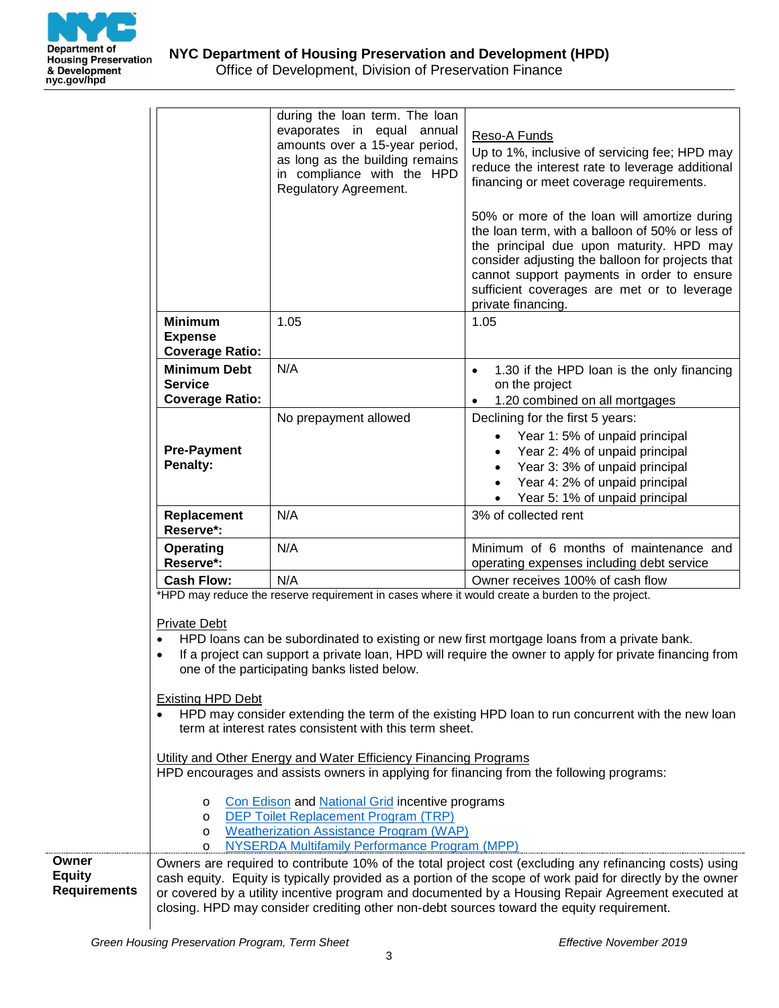

|                                               |                                                                                                                                                                                                                                                                                                                                                                                                                                                                                                                                                                                                                                                                                                                                                                                                                                                                                                                                                                                                            | during the loan term. The loan<br>evaporates in equal annual<br>amounts over a 15-year period,<br>as long as the building remains<br>in compliance with the HPD<br>Regulatory Agreement. | Reso-A Funds<br>Up to 1%, inclusive of servicing fee; HPD may<br>reduce the interest rate to leverage additional<br>financing or meet coverage requirements.<br>50% or more of the loan will amortize during<br>the loan term, with a balloon of 50% or less of<br>the principal due upon maturity. HPD may<br>consider adjusting the balloon for projects that<br>cannot support payments in order to ensure<br>sufficient coverages are met or to leverage |  |  |
|-----------------------------------------------|------------------------------------------------------------------------------------------------------------------------------------------------------------------------------------------------------------------------------------------------------------------------------------------------------------------------------------------------------------------------------------------------------------------------------------------------------------------------------------------------------------------------------------------------------------------------------------------------------------------------------------------------------------------------------------------------------------------------------------------------------------------------------------------------------------------------------------------------------------------------------------------------------------------------------------------------------------------------------------------------------------|------------------------------------------------------------------------------------------------------------------------------------------------------------------------------------------|--------------------------------------------------------------------------------------------------------------------------------------------------------------------------------------------------------------------------------------------------------------------------------------------------------------------------------------------------------------------------------------------------------------------------------------------------------------|--|--|
|                                               | <b>Minimum</b><br><b>Expense</b><br><b>Coverage Ratio:</b>                                                                                                                                                                                                                                                                                                                                                                                                                                                                                                                                                                                                                                                                                                                                                                                                                                                                                                                                                 | 1.05                                                                                                                                                                                     | private financing.<br>1.05                                                                                                                                                                                                                                                                                                                                                                                                                                   |  |  |
|                                               | <b>Minimum Debt</b><br><b>Service</b><br><b>Coverage Ratio:</b>                                                                                                                                                                                                                                                                                                                                                                                                                                                                                                                                                                                                                                                                                                                                                                                                                                                                                                                                            | N/A                                                                                                                                                                                      | 1.30 if the HPD loan is the only financing<br>$\bullet$<br>on the project<br>1.20 combined on all mortgages                                                                                                                                                                                                                                                                                                                                                  |  |  |
|                                               | <b>Pre-Payment</b><br>Penalty:                                                                                                                                                                                                                                                                                                                                                                                                                                                                                                                                                                                                                                                                                                                                                                                                                                                                                                                                                                             | No prepayment allowed                                                                                                                                                                    | Declining for the first 5 years:<br>Year 1:5% of unpaid principal<br>Year 2: 4% of unpaid principal<br>Year 3: 3% of unpaid principal<br>Year 4: 2% of unpaid principal<br>Year 5: 1% of unpaid principal                                                                                                                                                                                                                                                    |  |  |
|                                               | Replacement<br>Reserve*:                                                                                                                                                                                                                                                                                                                                                                                                                                                                                                                                                                                                                                                                                                                                                                                                                                                                                                                                                                                   | N/A                                                                                                                                                                                      | 3% of collected rent                                                                                                                                                                                                                                                                                                                                                                                                                                         |  |  |
|                                               | <b>Operating</b><br>Reserve*:                                                                                                                                                                                                                                                                                                                                                                                                                                                                                                                                                                                                                                                                                                                                                                                                                                                                                                                                                                              | N/A                                                                                                                                                                                      | Minimum of 6 months of maintenance and<br>operating expenses including debt service                                                                                                                                                                                                                                                                                                                                                                          |  |  |
|                                               | <b>Cash Flow:</b>                                                                                                                                                                                                                                                                                                                                                                                                                                                                                                                                                                                                                                                                                                                                                                                                                                                                                                                                                                                          | N/A                                                                                                                                                                                      | Owner receives 100% of cash flow                                                                                                                                                                                                                                                                                                                                                                                                                             |  |  |
|                                               | *HPD may reduce the reserve requirement in cases where it would create a burden to the project.<br><b>Private Debt</b><br>HPD loans can be subordinated to existing or new first mortgage loans from a private bank.<br>$\bullet$<br>If a project can support a private loan, HPD will require the owner to apply for private financing from<br>$\bullet$<br>one of the participating banks listed below.<br><b>Existing HPD Debt</b><br>HPD may consider extending the term of the existing HPD loan to run concurrent with the new loan<br>term at interest rates consistent with this term sheet.<br>Utility and Other Energy and Water Efficiency Financing Programs<br>HPD encourages and assists owners in applying for financing from the following programs:<br>Con Edison and National Grid incentive programs<br>O<br><b>DEP Toilet Replacement Program (TRP)</b><br>O<br><b>Weatherization Assistance Program (WAP)</b><br>O<br><b>NYSERDA Multifamily Performance Program (MPP)</b><br>$\circ$ |                                                                                                                                                                                          |                                                                                                                                                                                                                                                                                                                                                                                                                                                              |  |  |
|                                               |                                                                                                                                                                                                                                                                                                                                                                                                                                                                                                                                                                                                                                                                                                                                                                                                                                                                                                                                                                                                            |                                                                                                                                                                                          |                                                                                                                                                                                                                                                                                                                                                                                                                                                              |  |  |
| Owner<br><b>Equity</b><br><b>Requirements</b> | Owners are required to contribute 10% of the total project cost (excluding any refinancing costs) using<br>cash equity. Equity is typically provided as a portion of the scope of work paid for directly by the owner<br>or covered by a utility incentive program and documented by a Housing Repair Agreement executed at<br>closing. HPD may consider crediting other non-debt sources toward the equity requirement.                                                                                                                                                                                                                                                                                                                                                                                                                                                                                                                                                                                   |                                                                                                                                                                                          |                                                                                                                                                                                                                                                                                                                                                                                                                                                              |  |  |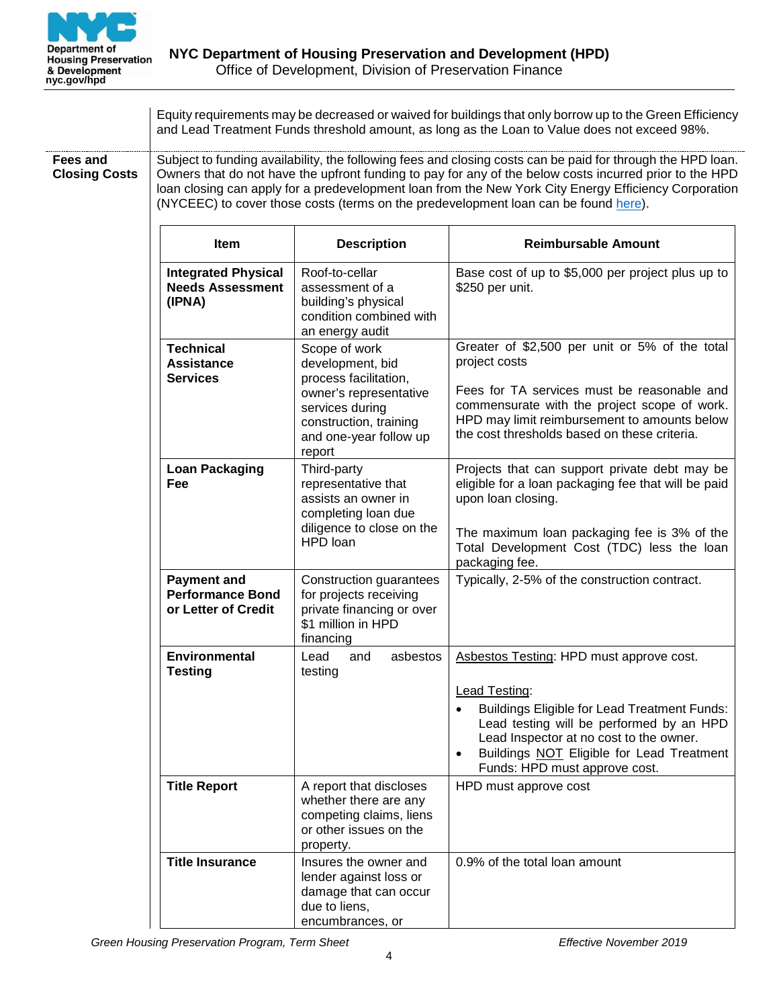

|                                  | Equity requirements may be decreased or waived for buildings that only borrow up to the Green Efficiency<br>and Lead Treatment Funds threshold amount, as long as the Loan to Value does not exceed 98%.                                                                                                                                                                                                               |                                                                                                                           |                                                                                                                                                                                                                                           |  |  |  |
|----------------------------------|------------------------------------------------------------------------------------------------------------------------------------------------------------------------------------------------------------------------------------------------------------------------------------------------------------------------------------------------------------------------------------------------------------------------|---------------------------------------------------------------------------------------------------------------------------|-------------------------------------------------------------------------------------------------------------------------------------------------------------------------------------------------------------------------------------------|--|--|--|
| Fees and<br><b>Closing Costs</b> | Subject to funding availability, the following fees and closing costs can be paid for through the HPD loan.<br>Owners that do not have the upfront funding to pay for any of the below costs incurred prior to the HPD<br>loan closing can apply for a predevelopment loan from the New York City Energy Efficiency Corporation<br>(NYCEEC) to cover those costs (terms on the predevelopment loan can be found here). |                                                                                                                           |                                                                                                                                                                                                                                           |  |  |  |
|                                  | <b>Item</b>                                                                                                                                                                                                                                                                                                                                                                                                            | <b>Description</b>                                                                                                        | <b>Reimbursable Amount</b>                                                                                                                                                                                                                |  |  |  |
|                                  | <b>Integrated Physical</b><br><b>Needs Assessment</b><br>(IPNA)                                                                                                                                                                                                                                                                                                                                                        | Roof-to-cellar<br>assessment of a<br>building's physical<br>condition combined with<br>an energy audit                    | Base cost of up to \$5,000 per project plus up to<br>\$250 per unit.                                                                                                                                                                      |  |  |  |
|                                  | <b>Technical</b><br><b>Assistance</b><br><b>Services</b>                                                                                                                                                                                                                                                                                                                                                               | Scope of work<br>development, bid<br>process facilitation,                                                                | Greater of \$2,500 per unit or 5% of the total<br>project costs                                                                                                                                                                           |  |  |  |
|                                  |                                                                                                                                                                                                                                                                                                                                                                                                                        | owner's representative<br>services during<br>construction, training<br>and one-year follow up<br>report                   | Fees for TA services must be reasonable and<br>commensurate with the project scope of work.<br>HPD may limit reimbursement to amounts below<br>the cost thresholds based on these criteria.                                               |  |  |  |
|                                  | <b>Loan Packaging</b><br>Fee                                                                                                                                                                                                                                                                                                                                                                                           | Third-party<br>representative that<br>assists an owner in<br>completing loan due<br>diligence to close on the<br>HPD loan | Projects that can support private debt may be<br>eligible for a loan packaging fee that will be paid<br>upon loan closing.<br>The maximum loan packaging fee is 3% of the<br>Total Development Cost (TDC) less the loan<br>packaging fee. |  |  |  |
|                                  | <b>Payment and</b><br><b>Performance Bond</b><br>or Letter of Credit                                                                                                                                                                                                                                                                                                                                                   | Construction guarantees<br>for projects receiving<br>private financing or over<br>\$1 million in HPD<br>financing         | Typically, 2-5% of the construction contract.                                                                                                                                                                                             |  |  |  |
|                                  | <b>Environmental</b><br><b>Testing</b>                                                                                                                                                                                                                                                                                                                                                                                 | Lead<br>and<br>asbestos<br>testing                                                                                        | Asbestos Testing: HPD must approve cost.<br>Lead Testing:<br><b>Buildings Eligible for Lead Treatment Funds:</b><br>Lead testing will be performed by an HPD<br>Lead Inspector at no cost to the owner.                                   |  |  |  |
|                                  |                                                                                                                                                                                                                                                                                                                                                                                                                        |                                                                                                                           | Buildings NOT Eligible for Lead Treatment<br>Funds: HPD must approve cost.                                                                                                                                                                |  |  |  |
|                                  | <b>Title Report</b>                                                                                                                                                                                                                                                                                                                                                                                                    | A report that discloses<br>whether there are any<br>competing claims, liens<br>or other issues on the<br>property.        | HPD must approve cost                                                                                                                                                                                                                     |  |  |  |
|                                  | <b>Title Insurance</b>                                                                                                                                                                                                                                                                                                                                                                                                 | Insures the owner and<br>lender against loss or<br>damage that can occur<br>due to liens,<br>encumbrances, or             | 0.9% of the total loan amount                                                                                                                                                                                                             |  |  |  |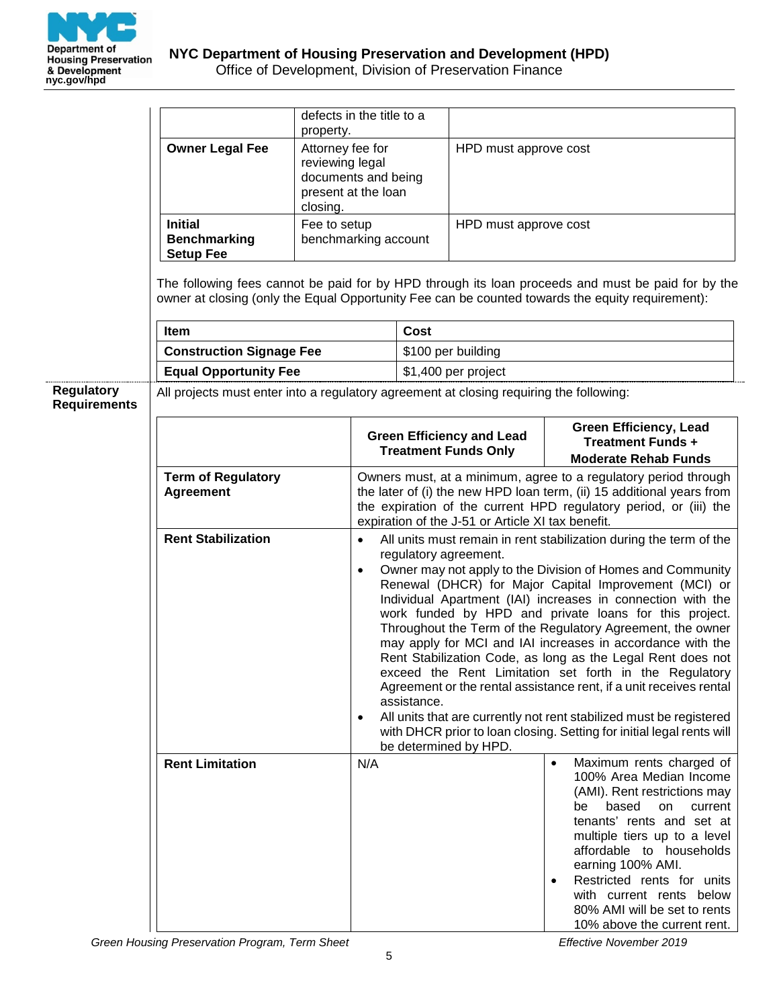

|                     |                                                                                         | defects in the title to a<br>property.<br>Attorney fee for<br>reviewing legal<br>documents and being<br>present at the loan<br>closing.                                                                                                                                                                                                                                        |                        |                       |                                                                 |                                                                                                                                                                                                                                                                                                                                                                                                                                                                                                                                                                                                                                                                                                                         |
|---------------------|-----------------------------------------------------------------------------------------|--------------------------------------------------------------------------------------------------------------------------------------------------------------------------------------------------------------------------------------------------------------------------------------------------------------------------------------------------------------------------------|------------------------|-----------------------|-----------------------------------------------------------------|-------------------------------------------------------------------------------------------------------------------------------------------------------------------------------------------------------------------------------------------------------------------------------------------------------------------------------------------------------------------------------------------------------------------------------------------------------------------------------------------------------------------------------------------------------------------------------------------------------------------------------------------------------------------------------------------------------------------------|
|                     | <b>Owner Legal Fee</b>                                                                  |                                                                                                                                                                                                                                                                                                                                                                                |                        | HPD must approve cost |                                                                 |                                                                                                                                                                                                                                                                                                                                                                                                                                                                                                                                                                                                                                                                                                                         |
|                     | <b>Initial</b><br><b>Benchmarking</b><br><b>Setup Fee</b>                               | Fee to setup<br>benchmarking account                                                                                                                                                                                                                                                                                                                                           |                        |                       | HPD must approve cost                                           |                                                                                                                                                                                                                                                                                                                                                                                                                                                                                                                                                                                                                                                                                                                         |
|                     |                                                                                         |                                                                                                                                                                                                                                                                                                                                                                                |                        |                       |                                                                 | The following fees cannot be paid for by HPD through its loan proceeds and must be paid for by the<br>owner at closing (only the Equal Opportunity Fee can be counted towards the equity requirement):                                                                                                                                                                                                                                                                                                                                                                                                                                                                                                                  |
|                     | Item                                                                                    |                                                                                                                                                                                                                                                                                                                                                                                |                        | Cost                  |                                                                 |                                                                                                                                                                                                                                                                                                                                                                                                                                                                                                                                                                                                                                                                                                                         |
|                     | <b>Construction Signage Fee</b>                                                         |                                                                                                                                                                                                                                                                                                                                                                                |                        |                       | \$100 per building                                              |                                                                                                                                                                                                                                                                                                                                                                                                                                                                                                                                                                                                                                                                                                                         |
|                     | <b>Equal Opportunity Fee</b>                                                            |                                                                                                                                                                                                                                                                                                                                                                                |                        |                       | \$1,400 per project                                             |                                                                                                                                                                                                                                                                                                                                                                                                                                                                                                                                                                                                                                                                                                                         |
| <b>Regulatory</b>   | All projects must enter into a regulatory agreement at closing requiring the following: |                                                                                                                                                                                                                                                                                                                                                                                |                        |                       |                                                                 |                                                                                                                                                                                                                                                                                                                                                                                                                                                                                                                                                                                                                                                                                                                         |
| <b>Requirements</b> |                                                                                         |                                                                                                                                                                                                                                                                                                                                                                                |                        |                       |                                                                 |                                                                                                                                                                                                                                                                                                                                                                                                                                                                                                                                                                                                                                                                                                                         |
|                     |                                                                                         |                                                                                                                                                                                                                                                                                                                                                                                |                        |                       | <b>Green Efficiency and Lead</b><br><b>Treatment Funds Only</b> | <b>Green Efficiency, Lead</b><br><b>Treatment Funds +</b>                                                                                                                                                                                                                                                                                                                                                                                                                                                                                                                                                                                                                                                               |
|                     |                                                                                         |                                                                                                                                                                                                                                                                                                                                                                                |                        |                       |                                                                 | <b>Moderate Rehab Funds</b>                                                                                                                                                                                                                                                                                                                                                                                                                                                                                                                                                                                                                                                                                             |
|                     | <b>Term of Regulatory</b><br><b>Agreement</b>                                           | Owners must, at a minimum, agree to a regulatory period through<br>the later of (i) the new HPD loan term, (ii) 15 additional years from<br>the expiration of the current HPD regulatory period, or (iii) the<br>expiration of the J-51 or Article XI tax benefit.<br>All units must remain in rent stabilization during the term of the<br>$\bullet$<br>regulatory agreement. |                        |                       |                                                                 |                                                                                                                                                                                                                                                                                                                                                                                                                                                                                                                                                                                                                                                                                                                         |
|                     | <b>Rent Stabilization</b>                                                               |                                                                                                                                                                                                                                                                                                                                                                                |                        |                       |                                                                 |                                                                                                                                                                                                                                                                                                                                                                                                                                                                                                                                                                                                                                                                                                                         |
|                     |                                                                                         |                                                                                                                                                                                                                                                                                                                                                                                | $\bullet$<br>$\bullet$ | assistance.           | be determined by HPD.                                           | Owner may not apply to the Division of Homes and Community<br>Renewal (DHCR) for Major Capital Improvement (MCI) or<br>Individual Apartment (IAI) increases in connection with the<br>work funded by HPD and private loans for this project.<br>Throughout the Term of the Regulatory Agreement, the owner<br>may apply for MCI and IAI increases in accordance with the<br>Rent Stabilization Code, as long as the Legal Rent does not<br>exceed the Rent Limitation set forth in the Regulatory<br>Agreement or the rental assistance rent, if a unit receives rental<br>All units that are currently not rent stabilized must be registered<br>with DHCR prior to loan closing. Setting for initial legal rents will |
|                     | <b>Rent Limitation</b>                                                                  |                                                                                                                                                                                                                                                                                                                                                                                | N/A                    |                       |                                                                 | Maximum rents charged of<br>100% Area Median Income<br>(AMI). Rent restrictions may<br>based<br>be<br>on<br>current<br>tenants' rents and set at<br>multiple tiers up to a level<br>affordable to households<br>earning 100% AMI.<br>Restricted rents for units<br>$\bullet$<br>with current rents below<br>80% AMI will be set to rents<br>10% above the current rent.                                                                                                                                                                                                                                                                                                                                                 |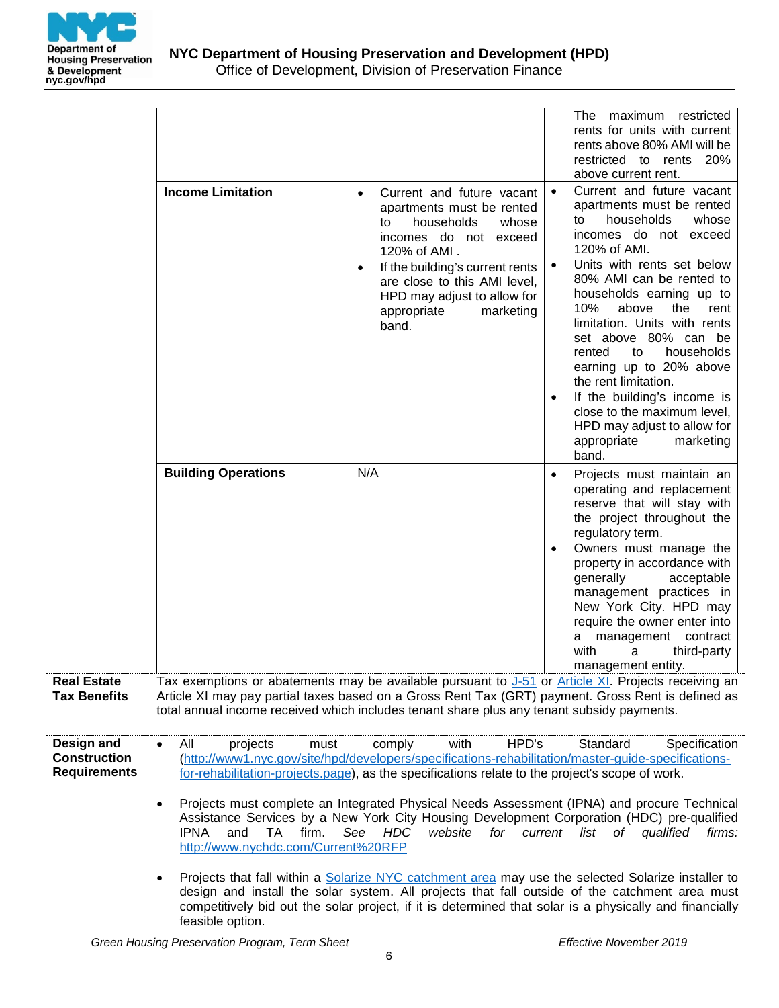

|                                                          | <b>Income Limitation</b>                                                                                                                                                                                                                                                                                                                                                                                                                                                                                                                                                                                                                                                                                                                                                                                                                                                                                                                                                                                                              | Current and future vacant<br>$\bullet$                                                                                                                                                                                                      | maximum restricted<br>The<br>rents for units with current<br>rents above 80% AMI will be<br>restricted to rents 20%<br>above current rent.<br>Current and future vacant<br>$\bullet$                                                                                                                                                                                                                                                                                                            |
|----------------------------------------------------------|---------------------------------------------------------------------------------------------------------------------------------------------------------------------------------------------------------------------------------------------------------------------------------------------------------------------------------------------------------------------------------------------------------------------------------------------------------------------------------------------------------------------------------------------------------------------------------------------------------------------------------------------------------------------------------------------------------------------------------------------------------------------------------------------------------------------------------------------------------------------------------------------------------------------------------------------------------------------------------------------------------------------------------------|---------------------------------------------------------------------------------------------------------------------------------------------------------------------------------------------------------------------------------------------|-------------------------------------------------------------------------------------------------------------------------------------------------------------------------------------------------------------------------------------------------------------------------------------------------------------------------------------------------------------------------------------------------------------------------------------------------------------------------------------------------|
|                                                          |                                                                                                                                                                                                                                                                                                                                                                                                                                                                                                                                                                                                                                                                                                                                                                                                                                                                                                                                                                                                                                       | apartments must be rented<br>households<br>whose<br>to<br>incomes do not exceed<br>120% of AMI.<br>If the building's current rents<br>٠<br>are close to this AMI level,<br>HPD may adjust to allow for<br>marketing<br>appropriate<br>band. | apartments must be rented<br>households<br>whose<br>to<br>incomes do not exceed<br>120% of AMI.<br>Units with rents set below<br>80% AMI can be rented to<br>households earning up to<br>10%<br>above<br>the<br>rent<br>limitation. Units with rents<br>set above 80% can be<br>households<br>rented<br>to<br>earning up to 20% above<br>the rent limitation.<br>If the building's income is<br>close to the maximum level,<br>HPD may adjust to allow for<br>appropriate<br>marketing<br>band. |
|                                                          | <b>Building Operations</b>                                                                                                                                                                                                                                                                                                                                                                                                                                                                                                                                                                                                                                                                                                                                                                                                                                                                                                                                                                                                            | N/A                                                                                                                                                                                                                                         | Projects must maintain an<br>$\bullet$<br>operating and replacement<br>reserve that will stay with<br>the project throughout the<br>regulatory term.<br>Owners must manage the<br>$\bullet$<br>property in accordance with<br>generally<br>acceptable<br>management practices in<br>New York City. HPD may<br>require the owner enter into<br>a management contract<br>with<br>a<br>third-party<br>management entity.                                                                           |
| <b>Real Estate</b><br><b>Tax Benefits</b>                | total annual income received which includes tenant share plus any tenant subsidy payments.                                                                                                                                                                                                                                                                                                                                                                                                                                                                                                                                                                                                                                                                                                                                                                                                                                                                                                                                            |                                                                                                                                                                                                                                             | Tax exemptions or abatements may be available pursuant to J-51 or Article XI. Projects receiving an<br>Article XI may pay partial taxes based on a Gross Rent Tax (GRT) payment. Gross Rent is defined as                                                                                                                                                                                                                                                                                       |
| Design and<br><b>Construction</b><br><b>Requirements</b> | HPD's<br>All<br>with<br>Standard<br>Specification<br>projects<br>comply<br>must<br>$\bullet$<br>(http://www1.nyc.gov/site/hpd/developers/specifications-rehabilitation/master-guide-specifications-<br>for-rehabilitation-projects.page), as the specifications relate to the project's scope of work.<br>Projects must complete an Integrated Physical Needs Assessment (IPNA) and procure Technical<br>$\bullet$<br>Assistance Services by a New York City Housing Development Corporation (HDC) pre-qualified<br><b>IPNA</b><br>and<br>firm.<br>See<br><b>HDC</b><br>website<br>TA.<br>for<br>current list<br>of<br>qualified<br>firms:<br>http://www.nychdc.com/Current%20RFP<br>Projects that fall within a Solarize NYC catchment area may use the selected Solarize installer to<br>$\bullet$<br>design and install the solar system. All projects that fall outside of the catchment area must<br>competitively bid out the solar project, if it is determined that solar is a physically and financially<br>feasible option. |                                                                                                                                                                                                                                             |                                                                                                                                                                                                                                                                                                                                                                                                                                                                                                 |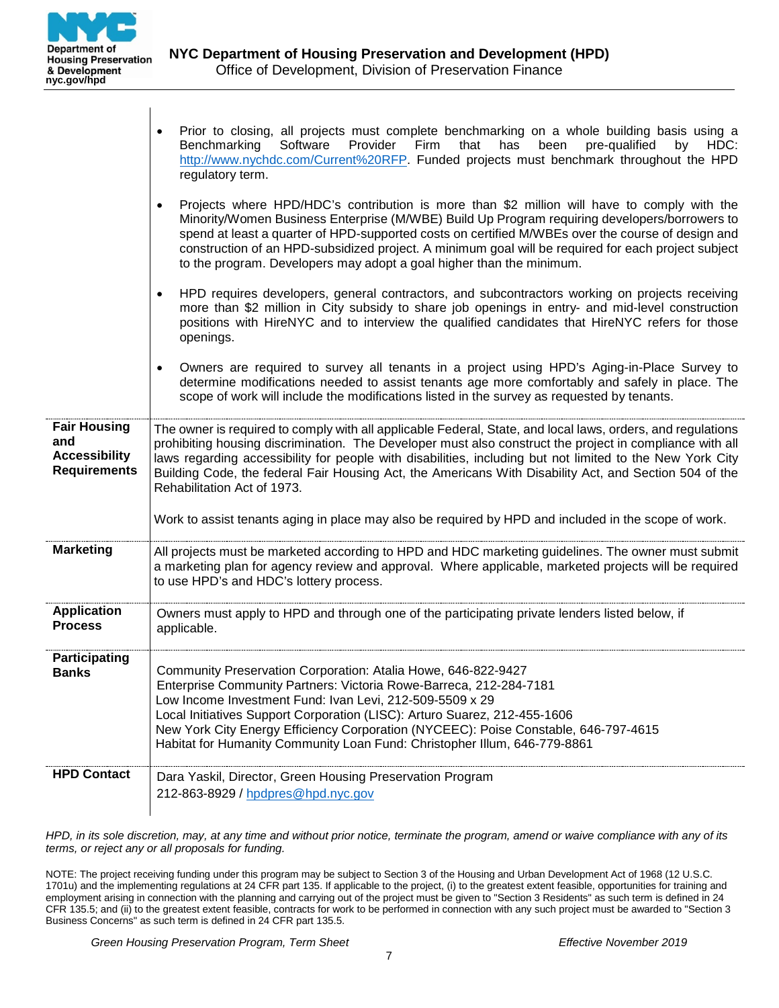

 $\overline{1}$ 

| <b>HPD Contact</b>                                                        | Habitat for Humanity Community Loan Fund: Christopher Illum, 646-779-8861<br>Dara Yaskil, Director, Green Housing Preservation Program<br>212-863-8929 / hpdpres@hpd.nyc.gov                                                                                                                                                                                                                                                                                                                                                                                                          |  |  |  |
|---------------------------------------------------------------------------|---------------------------------------------------------------------------------------------------------------------------------------------------------------------------------------------------------------------------------------------------------------------------------------------------------------------------------------------------------------------------------------------------------------------------------------------------------------------------------------------------------------------------------------------------------------------------------------|--|--|--|
| Participating<br><b>Banks</b>                                             | Community Preservation Corporation: Atalia Howe, 646-822-9427<br>Enterprise Community Partners: Victoria Rowe-Barreca, 212-284-7181<br>Low Income Investment Fund: Ivan Levi, 212-509-5509 x 29<br>Local Initiatives Support Corporation (LISC): Arturo Suarez, 212-455-1606<br>New York City Energy Efficiency Corporation (NYCEEC): Poise Constable, 646-797-4615                                                                                                                                                                                                                   |  |  |  |
| <b>Application</b><br><b>Process</b>                                      | Owners must apply to HPD and through one of the participating private lenders listed below, if<br>applicable.                                                                                                                                                                                                                                                                                                                                                                                                                                                                         |  |  |  |
| <b>Marketing</b>                                                          | All projects must be marketed according to HPD and HDC marketing guidelines. The owner must submit<br>a marketing plan for agency review and approval. Where applicable, marketed projects will be required<br>to use HPD's and HDC's lottery process.                                                                                                                                                                                                                                                                                                                                |  |  |  |
| <b>Fair Housing</b><br>and<br><b>Accessibility</b><br><b>Requirements</b> | The owner is required to comply with all applicable Federal, State, and local laws, orders, and regulations<br>prohibiting housing discrimination. The Developer must also construct the project in compliance with all<br>laws regarding accessibility for people with disabilities, including but not limited to the New York City<br>Building Code, the federal Fair Housing Act, the Americans With Disability Act, and Section 504 of the<br>Rehabilitation Act of 1973.<br>Work to assist tenants aging in place may also be required by HPD and included in the scope of work. |  |  |  |
|                                                                           | positions with HireNYC and to interview the qualified candidates that HireNYC refers for those<br>openings.<br>Owners are required to survey all tenants in a project using HPD's Aging-in-Place Survey to<br>determine modifications needed to assist tenants age more comfortably and safely in place. The<br>scope of work will include the modifications listed in the survey as requested by tenants.                                                                                                                                                                            |  |  |  |
|                                                                           | to the program. Developers may adopt a goal higher than the minimum.<br>HPD requires developers, general contractors, and subcontractors working on projects receiving<br>$\bullet$<br>more than \$2 million in City subsidy to share job openings in entry- and mid-level construction                                                                                                                                                                                                                                                                                               |  |  |  |
|                                                                           | Projects where HPD/HDC's contribution is more than \$2 million will have to comply with the<br>$\bullet$<br>Minority/Women Business Enterprise (M/WBE) Build Up Program requiring developers/borrowers to<br>spend at least a quarter of HPD-supported costs on certified M/WBEs over the course of design and<br>construction of an HPD-subsidized project. A minimum goal will be required for each project subject                                                                                                                                                                 |  |  |  |
|                                                                           | Prior to closing, all projects must complete benchmarking on a whole building basis using a<br>Benchmarking<br>Software<br>Provider<br>Firm<br>that<br>has<br>been<br>pre-qualified<br>by<br>HDC:<br>http://www.nychdc.com/Current%20RFP. Funded projects must benchmark throughout the HPD<br>regulatory term.                                                                                                                                                                                                                                                                       |  |  |  |

*HPD, in its sole discretion, may, at any time and without prior notice, terminate the program, amend or waive compliance with any of its terms, or reject any or all proposals for funding.*

NOTE: The project receiving funding under this program may be subject to Section 3 of the Housing and Urban Development Act of 1968 (12 U.S.C. 1701u) and the implementing regulations at 24 CFR part 135. If applicable to the project, (i) to the greatest extent feasible, opportunities for training and employment arising in connection with the planning and carrying out of the project must be given to "Section 3 Residents" as such term is defined in 24 CFR 135.5; and (ii) to the greatest extent feasible, contracts for work to be performed in connection with any such project must be awarded to "Section 3 Business Concerns" as such term is defined in 24 CFR part 135.5.

*Green Housing Preservation Program, Term Sheet Effective November 2019*